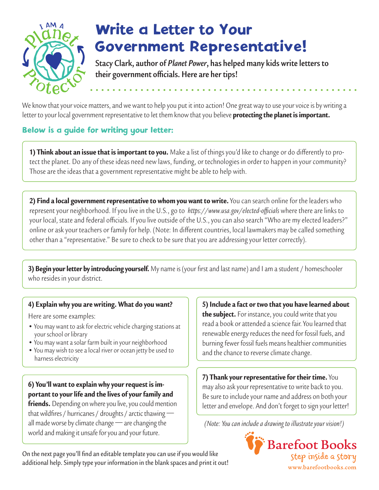

## Write a Letter to Your Government Representative!

**Stacy Clark, author of** *Planet Power***, has helped many kids write letters to their government officials. Here are her tips!**

We know that your voice matters, and we want to help you put it into action! One great way to use your voice is by writing a letter to your local government representative to let them know that you believe **protecting the planet is important.** 

### Below is a guide for writing your letter:

**1) Think about an issue that is important to you.** Make a list of things you'd like to change or do differently to protect the planet. Do any of these ideas need new laws, funding, or technologies in order to happen in your community? Those are the ideas that a government representative might be able to help with.

2) Find a local government representative to whom you want to write. You can search online for the leaders who represent your neighborhood. If you live in the U.S., go to *https://www.usa.gov/elected-officials* where there are links to your local, state and federal officials. If you live outside of the U.S., you can also search "Who are my elected leaders?" online or ask your teachers or family for help. (Note: In different countries, local lawmakers may be called something other than a "representative." Be sure to check to be sure that you are addressing your letter correctly).

3) Begin your letter by introducing yourself. My name is (your first and last name) and I am a student / homeschooler who resides in your district.

#### 4) Explain why you are writing. What do you want?

Here are some examples:

- You may want to ask for electric vehicle charging stations at your school or library
- You may want a solar farm built in your neighborhood
- You may wish to see a local river or ocean jetty be used to harness electricity

### 6) You'll want to explain why your request is important to your life and the lives of your family and

**friends.** Depending on where you live, you could mention that wildfires / hurricanes / droughts / arctic thawing all made worse by climate change — are changing the world and making it unsafe for you and your future.

5) Include a fact or two that you have learned about the subject. For instance, you could write that you read a book or attended a science fair. You learned that renewable energy reduces the need for fossil fuels, and burning fewer fossil fuels means healthier communities and the chance to reverse climate change.

7) Thank your representative for their time. You may also ask your representative to write back to you. Be sure to include your name and address on both your letter and envelope. And don't forget to sign your letter!

*(Note: You can include a drawing to illustrate your vision!)* 



On the next page you'll find an editable template you can use if you would like additional help. Simply type your information in the blank spaces and print it out!